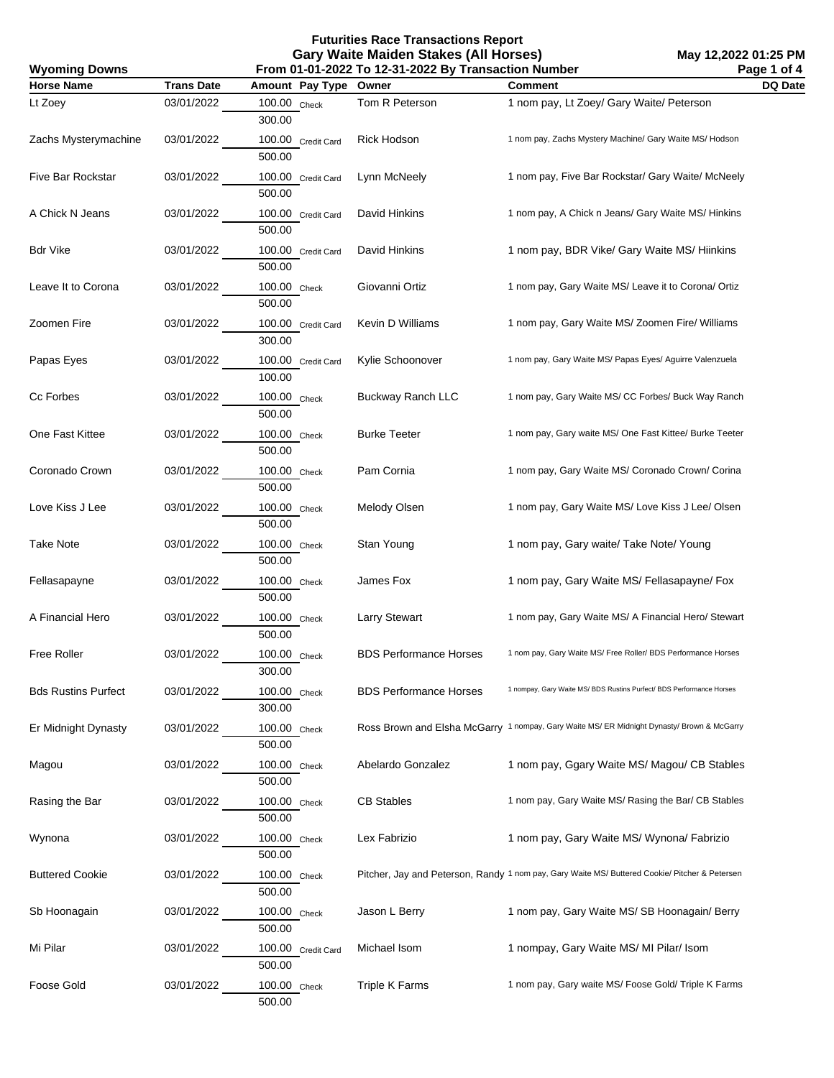**Futurities Race Transactions Report Gary Waite Maiden Stakes (All Horses)**

| <b>Wyoming Downs</b>       |                   | From 01-01-2022 To 12-31-2022 By Transaction Number | Page 1 of 4                   |                                                                                                |         |
|----------------------------|-------------------|-----------------------------------------------------|-------------------------------|------------------------------------------------------------------------------------------------|---------|
| <b>Horse Name</b>          | <b>Trans Date</b> | Amount Pay Type                                     | Owner                         | <b>Comment</b>                                                                                 | DQ Date |
| Lt Zoey                    | 03/01/2022        | 100.00 Check<br>300.00                              | Tom R Peterson                | 1 nom pay, Lt Zoey/ Gary Waite/ Peterson                                                       |         |
| Zachs Mysterymachine       | 03/01/2022        | 100.00 Credit Card<br>500.00                        | <b>Rick Hodson</b>            | 1 nom pay, Zachs Mystery Machine/ Gary Waite MS/ Hodson                                        |         |
| Five Bar Rockstar          | 03/01/2022        | 100.00 Credit Card<br>500.00                        | Lynn McNeely                  | 1 nom pay, Five Bar Rockstar/ Gary Waite/ McNeely                                              |         |
| A Chick N Jeans            | 03/01/2022        | 100.00 Credit Card<br>500.00                        | David Hinkins                 | 1 nom pay, A Chick n Jeans/ Gary Waite MS/ Hinkins                                             |         |
| Bdr Vike                   | 03/01/2022        | 100.00 Credit Card<br>500.00                        | David Hinkins                 | 1 nom pay, BDR Vike/ Gary Waite MS/ Hiinkins                                                   |         |
| Leave It to Corona         | 03/01/2022        | 100.00 Check<br>500.00                              | Giovanni Ortiz                | 1 nom pay, Gary Waite MS/ Leave it to Corona/ Ortiz                                            |         |
| Zoomen Fire                | 03/01/2022        | 100.00 Credit Card<br>300.00                        | Kevin D Williams              | 1 nom pay, Gary Waite MS/ Zoomen Fire/ Williams                                                |         |
| Papas Eyes                 | 03/01/2022        | 100.00 Credit Card<br>100.00                        | Kylie Schoonover              | 1 nom pay, Gary Waite MS/ Papas Eyes/ Aguirre Valenzuela                                       |         |
| Cc Forbes                  | 03/01/2022        | 100.00 Check<br>500.00                              | <b>Buckway Ranch LLC</b>      | 1 nom pay, Gary Waite MS/ CC Forbes/ Buck Way Ranch                                            |         |
| One Fast Kittee            | 03/01/2022        | 100.00 Check<br>500.00                              | <b>Burke Teeter</b>           | 1 nom pay, Gary waite MS/ One Fast Kittee/ Burke Teeter                                        |         |
| Coronado Crown             | 03/01/2022        | 100.00 Check<br>500.00                              | Pam Cornia                    | 1 nom pay, Gary Waite MS/ Coronado Crown/ Corina                                               |         |
| Love Kiss J Lee            | 03/01/2022        | 100.00 Check<br>500.00                              | Melody Olsen                  | 1 nom pay, Gary Waite MS/ Love Kiss J Lee/ Olsen                                               |         |
| Take Note                  | 03/01/2022        | 100.00 Check<br>500.00                              | Stan Young                    | 1 nom pay, Gary waite/ Take Note/ Young                                                        |         |
| Fellasapayne               | 03/01/2022        | 100.00 Check<br>500.00                              | James Fox                     | 1 nom pay, Gary Waite MS/ Fellasapayne/ Fox                                                    |         |
| A Financial Hero           | 03/01/2022        | 100.00 Check<br>500.00                              | <b>Larry Stewart</b>          | 1 nom pay, Gary Waite MS/ A Financial Hero/ Stewart                                            |         |
| <b>Free Roller</b>         | 03/01/2022        | 100.00 Check<br>300.00                              | <b>BDS Performance Horses</b> | 1 nom pay, Gary Waite MS/ Free Roller/ BDS Performance Horses                                  |         |
| <b>Bds Rustins Purfect</b> | 03/01/2022        | 100.00 Check<br>300.00                              | <b>BDS Performance Horses</b> | 1 nompay, Gary Waite MS/ BDS Rustins Purfect/ BDS Performance Horses                           |         |
| Er Midnight Dynasty        | 03/01/2022        | 100.00 Check<br>500.00                              |                               | Ross Brown and Elsha McGarry 1 nompay, Gary Waite MS/ ER Midnight Dynasty/ Brown & McGarry     |         |
| Magou                      | 03/01/2022        | 100.00 Check<br>500.00                              | Abelardo Gonzalez             | 1 nom pay, Ggary Waite MS/ Magou/ CB Stables                                                   |         |
| Rasing the Bar             | 03/01/2022        | 100.00 Check<br>500.00                              | <b>CB Stables</b>             | 1 nom pay, Gary Waite MS/ Rasing the Bar/ CB Stables                                           |         |
| Wynona                     | 03/01/2022        | 100.00 Check<br>500.00                              | Lex Fabrizio                  | 1 nom pay, Gary Waite MS/ Wynona/ Fabrizio                                                     |         |
| <b>Buttered Cookie</b>     | 03/01/2022        | 100.00 Check<br>500.00                              |                               | Pitcher, Jay and Peterson, Randy 1 nom pay, Gary Waite MS/ Buttered Cookie/ Pitcher & Petersen |         |
| Sb Hoonagain               | 03/01/2022        | 100.00 Check<br>500.00                              | Jason L Berry                 | 1 nom pay, Gary Waite MS/ SB Hoonagain/ Berry                                                  |         |
| Mi Pilar                   | 03/01/2022        | 100.00 Credit Card<br>500.00                        | Michael Isom                  | 1 nompay, Gary Waite MS/MI Pilar/ Isom                                                         |         |
| Foose Gold                 | 03/01/2022        | 100.00 Check<br>500.00                              | <b>Triple K Farms</b>         | 1 nom pay, Gary waite MS/ Foose Gold/ Triple K Farms                                           |         |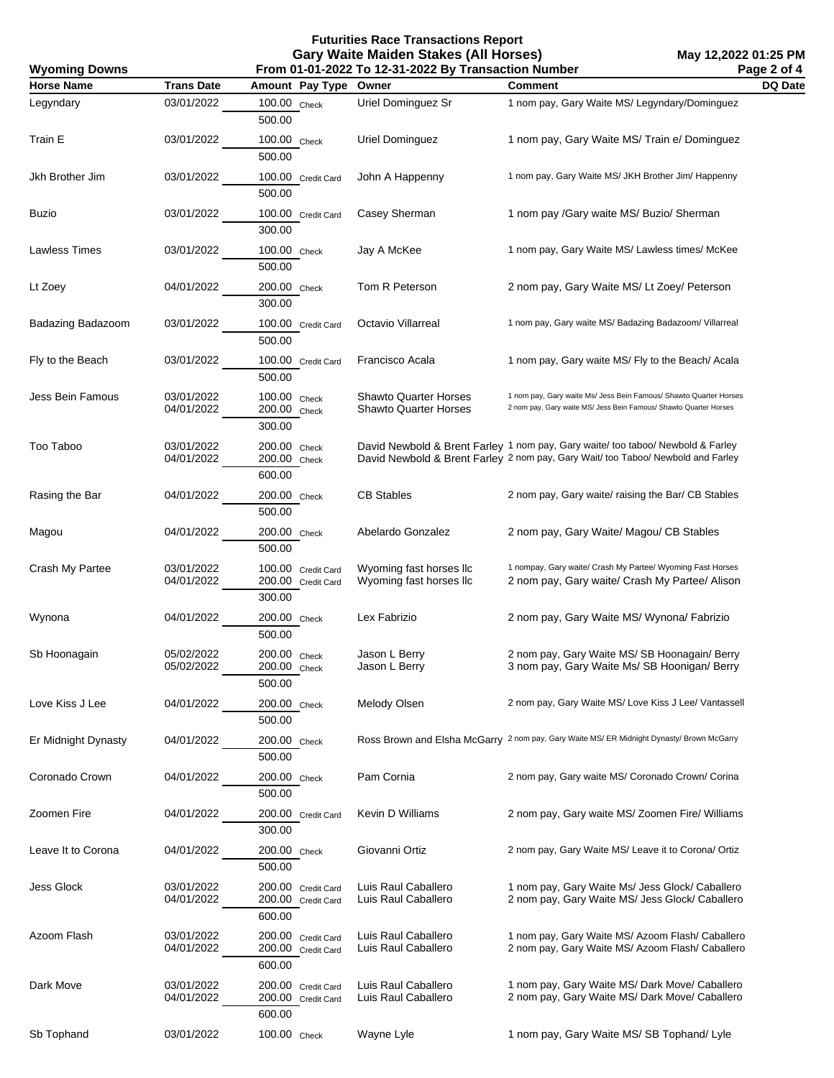**Futurities Race Transactions Report Gary Waite Maiden Stakes (All Horses)**

| <b>Wyoming Downs</b> | Page 2 of 4<br>From 01-01-2022 To 12-31-2022 By Transaction Number |                                                    |                                                    |                                                                                                                                                                     |         |
|----------------------|--------------------------------------------------------------------|----------------------------------------------------|----------------------------------------------------|---------------------------------------------------------------------------------------------------------------------------------------------------------------------|---------|
| <b>Horse Name</b>    | <b>Trans Date</b>                                                  | Amount Pay Type Owner                              |                                                    | Comment                                                                                                                                                             | DQ Date |
| Legyndary            | 03/01/2022                                                         | 100.00 Check<br>500.00                             | Uriel Dominguez Sr                                 | 1 nom pay, Gary Waite MS/ Legyndary/Dominguez                                                                                                                       |         |
| Train E              | 03/01/2022                                                         | 100.00 Check<br>500.00                             | Uriel Dominguez                                    | 1 nom pay, Gary Waite MS/ Train e/ Dominguez                                                                                                                        |         |
| Jkh Brother Jim      | 03/01/2022                                                         | 100.00 Credit Card<br>500.00                       | John A Happenny                                    | 1 nom pay, Gary Waite MS/ JKH Brother Jim/ Happenny                                                                                                                 |         |
| Buzio                | 03/01/2022                                                         | 100.00 Credit Card<br>300.00                       | Casey Sherman                                      | 1 nom pay /Gary waite MS/ Buzio/ Sherman                                                                                                                            |         |
| Lawless Times        | 03/01/2022                                                         | 100.00 Check<br>500.00                             | Jay A McKee                                        | 1 nom pay, Gary Waite MS/ Lawless times/ McKee                                                                                                                      |         |
| Lt Zoey              | 04/01/2022                                                         | 200.00 Check<br>300.00                             | Tom R Peterson                                     | 2 nom pay, Gary Waite MS/Lt Zoey/ Peterson                                                                                                                          |         |
| Badazing Badazoom    | 03/01/2022                                                         | 100.00 Credit Card<br>500.00                       | Octavio Villarreal                                 | 1 nom pay, Gary waite MS/ Badazing Badazoom/ Villarreal                                                                                                             |         |
| Fly to the Beach     | 03/01/2022                                                         | 100.00 Credit Card<br>500.00                       | Francisco Acala                                    | 1 nom pay, Gary waite MS/ Fly to the Beach/ Acala                                                                                                                   |         |
| Jess Bein Famous     | 03/01/2022<br>04/01/2022                                           | 100.00 Check<br>200.00 Check<br>300.00             | Shawto Quarter Horses<br>Shawto Quarter Horses     | 1 nom pay, Gary waite Ms/ Jess Bein Famous/ Shawto Quarter Horses<br>2 nom pay, Gary waite MS/ Jess Bein Famous/ Shawto Quarter Horses                              |         |
| Too Taboo            | 03/01/2022<br>04/01/2022                                           | 200.00 Check<br>200.00 Check<br>600.00             |                                                    | David Newbold & Brent Farley 1 nom pay, Gary waite/ too taboo/ Newbold & Farley<br>David Newbold & Brent Farley 2 nom pay, Gary Wait/ too Taboo/ Newbold and Farley |         |
| Rasing the Bar       | 04/01/2022                                                         | 200.00 Check<br>500.00                             | <b>CB Stables</b>                                  | 2 nom pay, Gary waite/ raising the Bar/ CB Stables                                                                                                                  |         |
| Magou                | 04/01/2022                                                         | 200.00 Check<br>500.00                             | Abelardo Gonzalez                                  | 2 nom pay, Gary Waite/ Magou/ CB Stables                                                                                                                            |         |
| Crash My Partee      | 03/01/2022<br>04/01/2022                                           | 100.00 Credit Card<br>200.00 Credit Card<br>300.00 | Wyoming fast horses IIc<br>Wyoming fast horses IIc | 1 nompay, Gary waite/ Crash My Partee/ Wyoming Fast Horses<br>2 nom pay, Gary waite/ Crash My Partee/ Alison                                                        |         |
| Wynona               | 04/01/2022                                                         | 200.00 Check<br>500.00                             | Lex Fabrizio                                       | 2 nom pay, Gary Waite MS/ Wynona/ Fabrizio                                                                                                                          |         |
| Sb Hoonagain         | 05/02/2022<br>05/02/2022                                           | 200.00 Check<br>200.00 Check<br>500.00             | Jason L Berry<br>Jason L Berry                     | 2 nom pay, Gary Waite MS/ SB Hoonagain/ Berry<br>3 nom pay, Gary Waite Ms/ SB Hoonigan/ Berry                                                                       |         |
| Love Kiss J Lee      | 04/01/2022                                                         | 200.00 Check<br>500.00                             | Melody Olsen                                       | 2 nom pay, Gary Waite MS/Love Kiss J Lee/ Vantassell                                                                                                                |         |
| Er Midnight Dynasty  | 04/01/2022                                                         | 200.00 Check<br>500.00                             |                                                    | Ross Brown and Elsha McGarry 2 nom pay, Gary Waite MS/ ER Midnight Dynasty/ Brown McGarry                                                                           |         |
| Coronado Crown       | 04/01/2022                                                         | 200.00 Check<br>500.00                             | Pam Cornia                                         | 2 nom pay, Gary waite MS/ Coronado Crown/ Corina                                                                                                                    |         |
| Zoomen Fire          | 04/01/2022                                                         | 200.00 Credit Card<br>300.00                       | <b>Kevin D Williams</b>                            | 2 nom pay, Gary waite MS/Zoomen Fire/ Williams                                                                                                                      |         |
| Leave It to Corona   | 04/01/2022                                                         | 200.00 Check<br>500.00                             | Giovanni Ortiz                                     | 2 nom pay, Gary Waite MS/ Leave it to Corona/ Ortiz                                                                                                                 |         |
| Jess Glock           | 03/01/2022<br>04/01/2022                                           | 200.00 Credit Card<br>200.00 Credit Card<br>600.00 | Luis Raul Caballero<br>Luis Raul Caballero         | 1 nom pay, Gary Waite Ms/ Jess Glock/ Caballero<br>2 nom pay, Gary Waite MS/ Jess Glock/ Caballero                                                                  |         |
| Azoom Flash          | 03/01/2022<br>04/01/2022                                           | 200.00 Credit Card<br>200.00 Credit Card<br>600.00 | Luis Raul Caballero<br>Luis Raul Caballero         | 1 nom pay, Gary Waite MS/ Azoom Flash/ Caballero<br>2 nom pay, Gary Waite MS/ Azoom Flash/ Caballero                                                                |         |
| Dark Move            | 03/01/2022<br>04/01/2022                                           | 200.00 Credit Card<br>200.00 Credit Card<br>600.00 | Luis Raul Caballero<br>Luis Raul Caballero         | 1 nom pay, Gary Waite MS/ Dark Move/ Caballero<br>2 nom pay, Gary Waite MS/ Dark Move/ Caballero                                                                    |         |
| Sb Tophand           | 03/01/2022                                                         | 100.00 Check                                       | Wayne Lyle                                         | 1 nom pay, Gary Waite MS/SB Tophand/Lyle                                                                                                                            |         |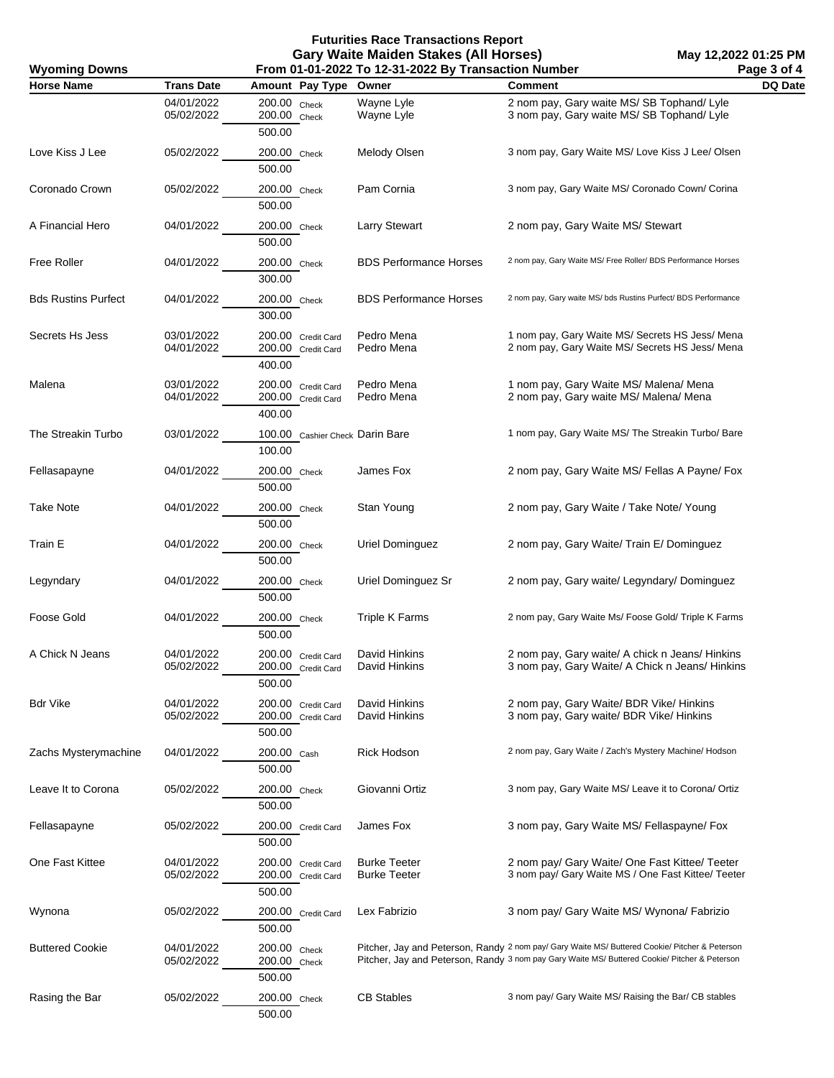**Futurities Race Transactions Report Gary Waite Maiden Stakes (All Horses) From 01-01-2022 To 12-31-2022 By Transaction Number**

**Wyoming Downs**

| Horse Name                 | <b>Trans Date</b>        | Amount Pay Type Owner                              |                                            | <b>Comment</b>                                                                                                                                                                                  | DQ Date |
|----------------------------|--------------------------|----------------------------------------------------|--------------------------------------------|-------------------------------------------------------------------------------------------------------------------------------------------------------------------------------------------------|---------|
|                            | 04/01/2022<br>05/02/2022 | 200.00 Check<br>200.00 Check<br>500.00             | Wayne Lyle<br>Wayne Lyle                   | 2 nom pay, Gary waite MS/SB Tophand/Lyle<br>3 nom pay, Gary waite MS/SB Tophand/Lyle                                                                                                            |         |
| Love Kiss J Lee            | 05/02/2022               | 200.00 Check<br>500.00                             | Melody Olsen                               | 3 nom pay, Gary Waite MS/ Love Kiss J Lee/ Olsen                                                                                                                                                |         |
| Coronado Crown             | 05/02/2022               | 200.00 Check<br>500.00                             | Pam Cornia                                 | 3 nom pay, Gary Waite MS/ Coronado Cown/ Corina                                                                                                                                                 |         |
| A Financial Hero           | 04/01/2022               | 200.00 Check<br>500.00                             | <b>Larry Stewart</b>                       | 2 nom pay, Gary Waite MS/ Stewart                                                                                                                                                               |         |
| <b>Free Roller</b>         | 04/01/2022               | 200.00 Check<br>300.00                             | <b>BDS Performance Horses</b>              | 2 nom pay, Gary Waite MS/ Free Roller/ BDS Performance Horses                                                                                                                                   |         |
| <b>Bds Rustins Purfect</b> | 04/01/2022               | 200.00 Check<br>300.00                             | <b>BDS Performance Horses</b>              | 2 nom pay, Gary waite MS/ bds Rustins Purfect/ BDS Performance                                                                                                                                  |         |
| Secrets Hs Jess            | 03/01/2022<br>04/01/2022 | 200.00 Credit Card<br>200.00 Credit Card<br>400.00 | Pedro Mena<br>Pedro Mena                   | 1 nom pay, Gary Waite MS/ Secrets HS Jess/ Mena<br>2 nom pay, Gary Waite MS/ Secrets HS Jess/ Mena                                                                                              |         |
| Malena                     | 03/01/2022<br>04/01/2022 | 200.00 Credit Card<br>200.00 Credit Card<br>400.00 | Pedro Mena<br>Pedro Mena                   | 1 nom pay, Gary Waite MS/ Malena/ Mena<br>2 nom pay, Gary waite MS/ Malena/ Mena                                                                                                                |         |
| The Streakin Turbo         | 03/01/2022               | 100.00 Cashier Check Darin Bare<br>100.00          |                                            | 1 nom pay, Gary Waite MS/ The Streakin Turbo/ Bare                                                                                                                                              |         |
| Fellasapayne               | 04/01/2022               | 200.00 Check<br>500.00                             | James Fox                                  | 2 nom pay, Gary Waite MS/ Fellas A Payne/ Fox                                                                                                                                                   |         |
| <b>Take Note</b>           | 04/01/2022               | 200.00 Check<br>500.00                             | Stan Young                                 | 2 nom pay, Gary Waite / Take Note/ Young                                                                                                                                                        |         |
| Train E                    | 04/01/2022               | 200.00 Check<br>500.00                             | Uriel Dominguez                            | 2 nom pay, Gary Waite/ Train E/ Dominguez                                                                                                                                                       |         |
| Legyndary                  | 04/01/2022               | 200.00 Check<br>500.00                             | Uriel Dominguez Sr                         | 2 nom pay, Gary waite/ Legyndary/ Dominguez                                                                                                                                                     |         |
| Foose Gold                 | 04/01/2022               | 200.00 Check<br>500.00                             | <b>Triple K Farms</b>                      | 2 nom pay, Gary Waite Ms/ Foose Gold/ Triple K Farms                                                                                                                                            |         |
| A Chick N Jeans            | 04/01/2022<br>05/02/2022 | 200.00 Credit Card<br>200.00 Credit Card<br>500.00 | David Hinkins<br>David Hinkins             | 2 nom pay, Gary waite/ A chick n Jeans/ Hinkins<br>3 nom pay, Gary Waite/ A Chick n Jeans/ Hinkins                                                                                              |         |
| Bdr Vike                   | 04/01/2022<br>05/02/2022 | 200.00 Credit Card<br>200.00 Credit Card<br>500.00 | David Hinkins<br>David Hinkins             | 2 nom pay, Gary Waite/ BDR Vike/ Hinkins<br>3 nom pay, Gary waite/ BDR Vike/ Hinkins                                                                                                            |         |
| Zachs Mysterymachine       | 04/01/2022               | 200.00 Cash<br>500.00                              | Rick Hodson                                | 2 nom pay, Gary Waite / Zach's Mystery Machine/ Hodson                                                                                                                                          |         |
| Leave It to Corona         | 05/02/2022               | 200.00 Check<br>500.00                             | Giovanni Ortiz                             | 3 nom pay, Gary Waite MS/ Leave it to Corona/ Ortiz                                                                                                                                             |         |
| Fellasapayne               | 05/02/2022               | 200.00 Credit Card<br>500.00                       | James Fox                                  | 3 nom pay, Gary Waite MS/ Fellaspayne/ Fox                                                                                                                                                      |         |
| One Fast Kittee            | 04/01/2022<br>05/02/2022 | 200.00 Credit Card<br>200.00 Credit Card<br>500.00 | <b>Burke Teeter</b><br><b>Burke Teeter</b> | 2 nom pay/ Gary Waite/ One Fast Kittee/ Teeter<br>3 nom pay/ Gary Waite MS / One Fast Kittee/ Teeter                                                                                            |         |
| Wynona                     | 05/02/2022               | 200.00 Credit Card<br>500.00                       | Lex Fabrizio                               | 3 nom pay/ Gary Waite MS/ Wynona/ Fabrizio                                                                                                                                                      |         |
| <b>Buttered Cookie</b>     | 04/01/2022<br>05/02/2022 | 200.00 Check<br>200.00 Check<br>500.00             |                                            | Pitcher, Jay and Peterson, Randy 2 nom pay/ Gary Waite MS/ Buttered Cookie/ Pitcher & Peterson<br>Pitcher, Jay and Peterson, Randy 3 nom pay Gary Waite MS/ Buttered Cookie/ Pitcher & Peterson |         |
| Rasing the Bar             | 05/02/2022               | 200.00 Check<br>500.00                             | <b>CB Stables</b>                          | 3 nom pay/ Gary Waite MS/ Raising the Bar/ CB stables                                                                                                                                           |         |